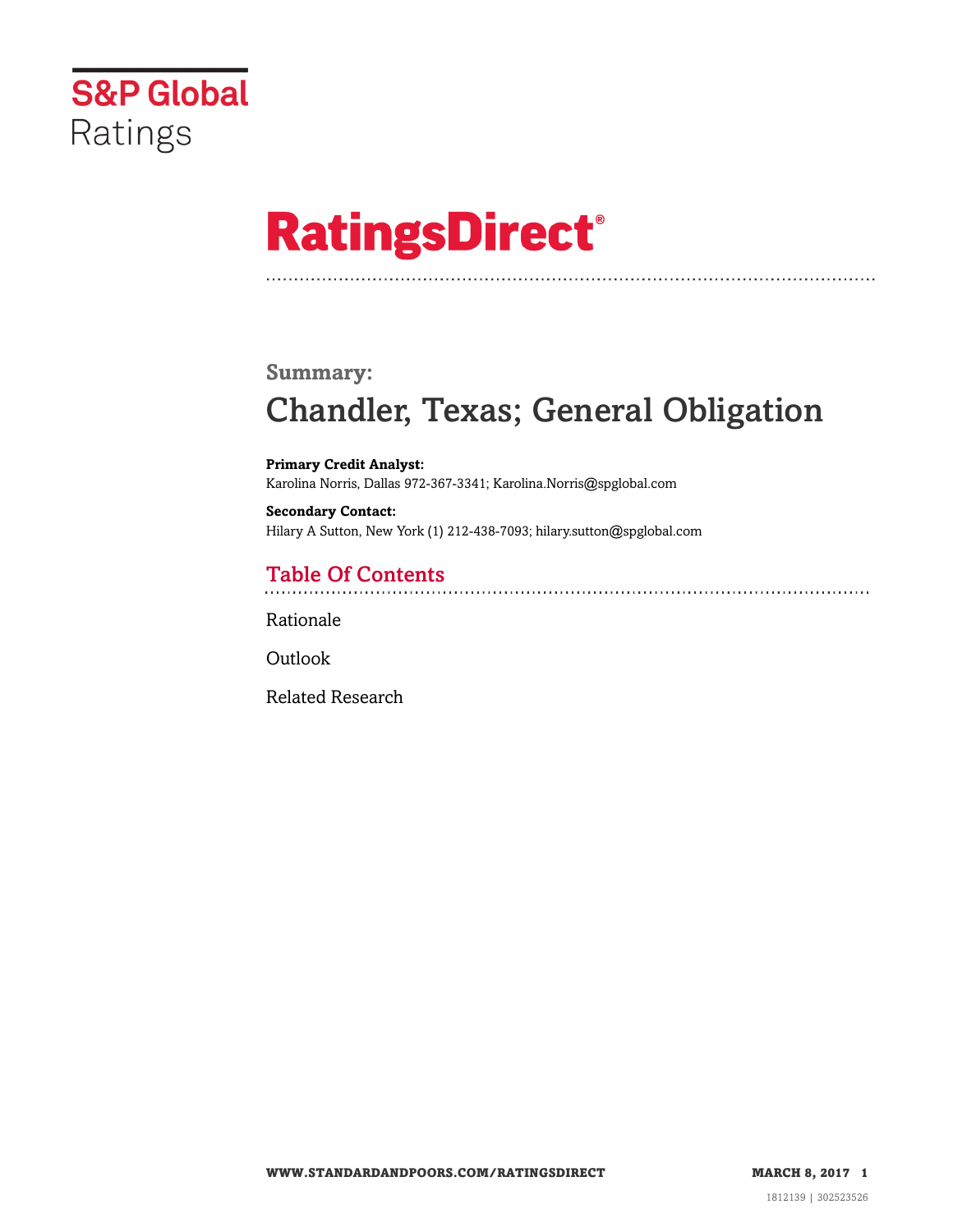

# **RatingsDirect®**

### **Summary:**

# Chandler, Texas; General Obligation

**Primary Credit Analyst:** Karolina Norris, Dallas 972-367-3341; Karolina.Norris@spglobal.com

**Secondary Contact:** Hilary A Sutton, New York (1) 212-438-7093; hilary.sutton@spglobal.com

# Table Of Contents

[Rationale](#page-1-0)

**[Outlook](#page-4-0)** 

[Related Research](#page-4-1)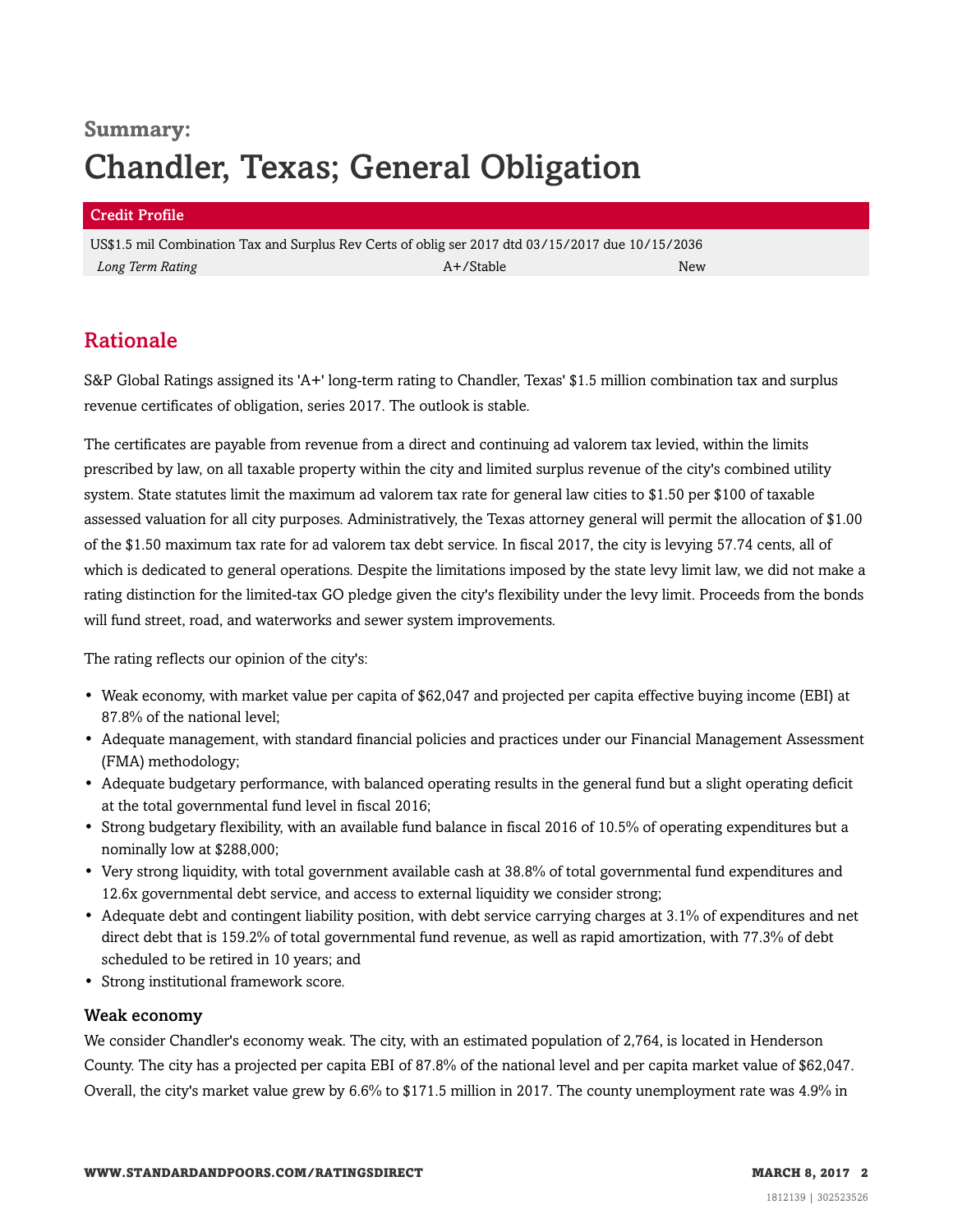# **Summary:** Chandler, Texas; General Obligation

#### Credit Profile

US\$1.5 mil Combination Tax and Surplus Rev Certs of oblig ser 2017 dtd 03/15/2017 due 10/15/2036 *Long Term Rating* A+/Stable New

# <span id="page-1-0"></span>Rationale

S&P Global Ratings assigned its 'A+' long-term rating to Chandler, Texas' \$1.5 million combination tax and surplus revenue certificates of obligation, series 2017. The outlook is stable.

The certificates are payable from revenue from a direct and continuing ad valorem tax levied, within the limits prescribed by law, on all taxable property within the city and limited surplus revenue of the city's combined utility system. State statutes limit the maximum ad valorem tax rate for general law cities to \$1.50 per \$100 of taxable assessed valuation for all city purposes. Administratively, the Texas attorney general will permit the allocation of \$1.00 of the \$1.50 maximum tax rate for ad valorem tax debt service. In fiscal 2017, the city is levying 57.74 cents, all of which is dedicated to general operations. Despite the limitations imposed by the state levy limit law, we did not make a rating distinction for the limited-tax GO pledge given the city's flexibility under the levy limit. Proceeds from the bonds will fund street, road, and waterworks and sewer system improvements.

The rating reflects our opinion of the city's:

- Weak economy, with market value per capita of \$62,047 and projected per capita effective buying income (EBI) at 87.8% of the national level;
- Adequate management, with standard financial policies and practices under our Financial Management Assessment (FMA) methodology;
- Adequate budgetary performance, with balanced operating results in the general fund but a slight operating deficit at the total governmental fund level in fiscal 2016;
- Strong budgetary flexibility, with an available fund balance in fiscal 2016 of 10.5% of operating expenditures but a nominally low at \$288,000;
- Very strong liquidity, with total government available cash at 38.8% of total governmental fund expenditures and 12.6x governmental debt service, and access to external liquidity we consider strong;
- Adequate debt and contingent liability position, with debt service carrying charges at 3.1% of expenditures and net direct debt that is 159.2% of total governmental fund revenue, as well as rapid amortization, with 77.3% of debt scheduled to be retired in 10 years; and
- Strong institutional framework score.

#### Weak economy

We consider Chandler's economy weak. The city, with an estimated population of 2,764, is located in Henderson County. The city has a projected per capita EBI of 87.8% of the national level and per capita market value of \$62,047. Overall, the city's market value grew by 6.6% to \$171.5 million in 2017. The county unemployment rate was 4.9% in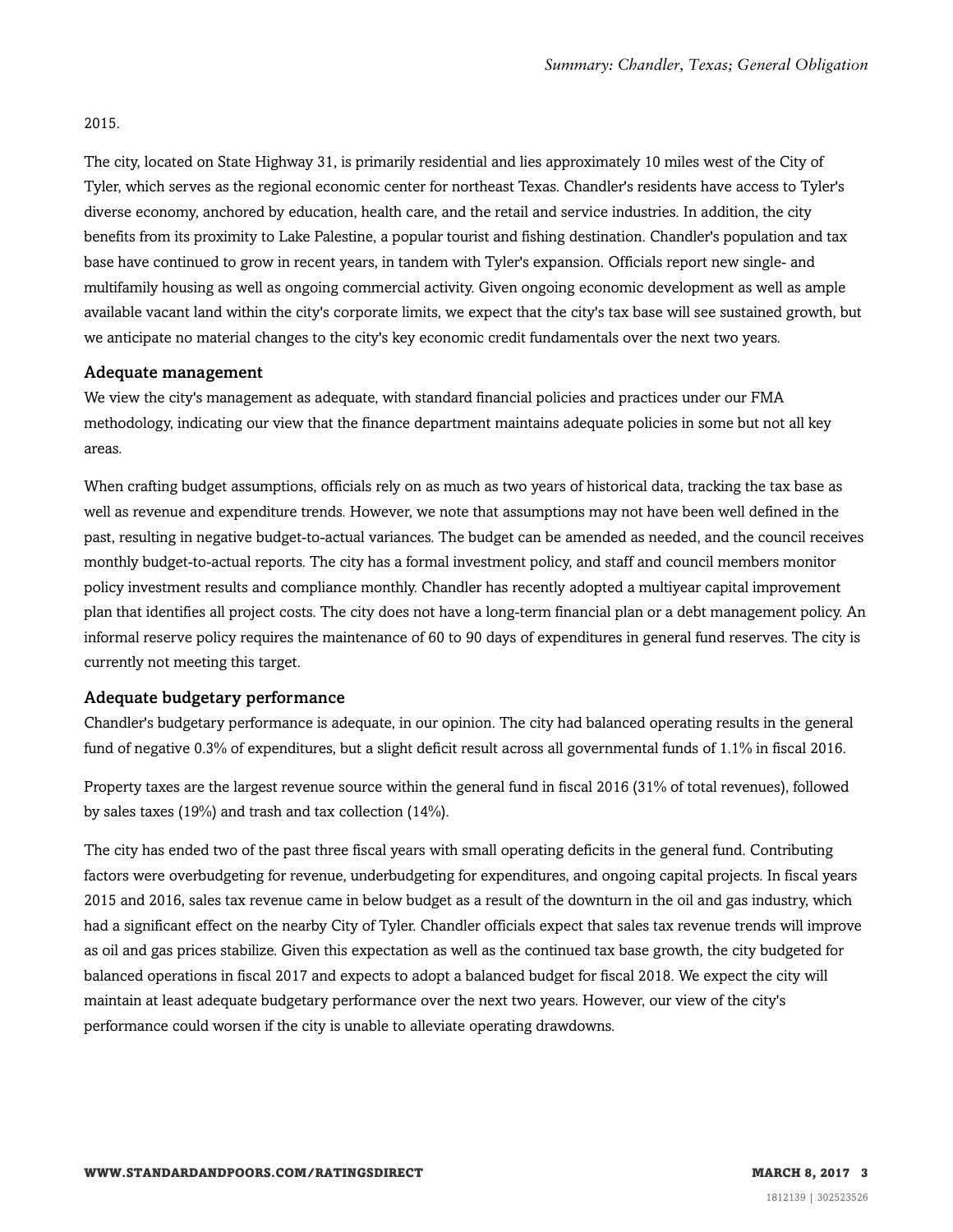#### 2015.

The city, located on State Highway 31, is primarily residential and lies approximately 10 miles west of the City of Tyler, which serves as the regional economic center for northeast Texas. Chandler's residents have access to Tyler's diverse economy, anchored by education, health care, and the retail and service industries. In addition, the city benefits from its proximity to Lake Palestine, a popular tourist and fishing destination. Chandler's population and tax base have continued to grow in recent years, in tandem with Tyler's expansion. Officials report new single- and multifamily housing as well as ongoing commercial activity. Given ongoing economic development as well as ample available vacant land within the city's corporate limits, we expect that the city's tax base will see sustained growth, but we anticipate no material changes to the city's key economic credit fundamentals over the next two years.

#### Adequate management

We view the city's management as adequate, with standard financial policies and practices under our FMA methodology, indicating our view that the finance department maintains adequate policies in some but not all key areas.

When crafting budget assumptions, officials rely on as much as two years of historical data, tracking the tax base as well as revenue and expenditure trends. However, we note that assumptions may not have been well defined in the past, resulting in negative budget-to-actual variances. The budget can be amended as needed, and the council receives monthly budget-to-actual reports. The city has a formal investment policy, and staff and council members monitor policy investment results and compliance monthly. Chandler has recently adopted a multiyear capital improvement plan that identifies all project costs. The city does not have a long-term financial plan or a debt management policy. An informal reserve policy requires the maintenance of 60 to 90 days of expenditures in general fund reserves. The city is currently not meeting this target.

#### Adequate budgetary performance

Chandler's budgetary performance is adequate, in our opinion. The city had balanced operating results in the general fund of negative 0.3% of expenditures, but a slight deficit result across all governmental funds of 1.1% in fiscal 2016.

Property taxes are the largest revenue source within the general fund in fiscal 2016 (31% of total revenues), followed by sales taxes (19%) and trash and tax collection (14%).

The city has ended two of the past three fiscal years with small operating deficits in the general fund. Contributing factors were overbudgeting for revenue, underbudgeting for expenditures, and ongoing capital projects. In fiscal years 2015 and 2016, sales tax revenue came in below budget as a result of the downturn in the oil and gas industry, which had a significant effect on the nearby City of Tyler. Chandler officials expect that sales tax revenue trends will improve as oil and gas prices stabilize. Given this expectation as well as the continued tax base growth, the city budgeted for balanced operations in fiscal 2017 and expects to adopt a balanced budget for fiscal 2018. We expect the city will maintain at least adequate budgetary performance over the next two years. However, our view of the city's performance could worsen if the city is unable to alleviate operating drawdowns.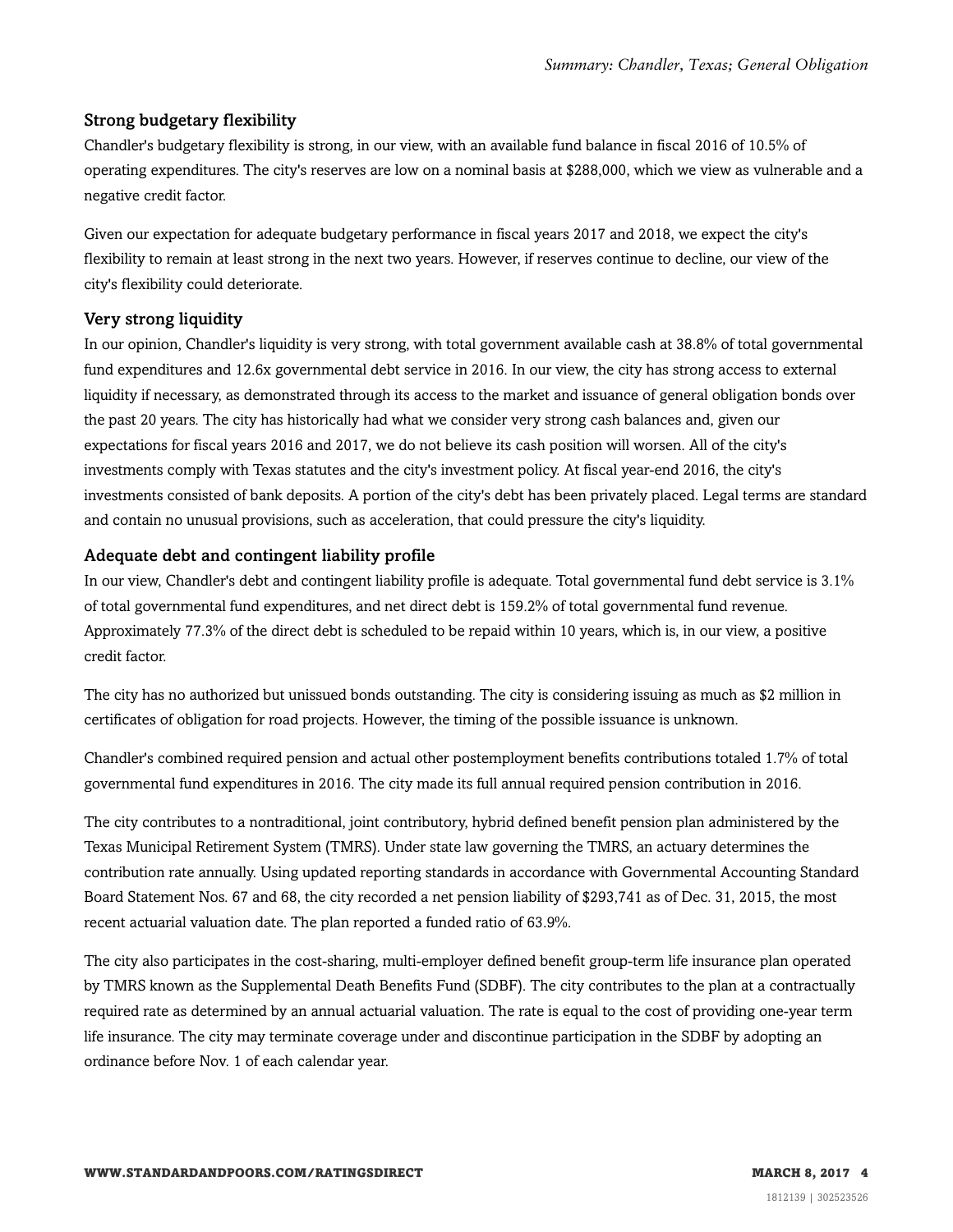#### Strong budgetary flexibility

Chandler's budgetary flexibility is strong, in our view, with an available fund balance in fiscal 2016 of 10.5% of operating expenditures. The city's reserves are low on a nominal basis at \$288,000, which we view as vulnerable and a negative credit factor.

Given our expectation for adequate budgetary performance in fiscal years 2017 and 2018, we expect the city's flexibility to remain at least strong in the next two years. However, if reserves continue to decline, our view of the city's flexibility could deteriorate.

#### Very strong liquidity

In our opinion, Chandler's liquidity is very strong, with total government available cash at 38.8% of total governmental fund expenditures and 12.6x governmental debt service in 2016. In our view, the city has strong access to external liquidity if necessary, as demonstrated through its access to the market and issuance of general obligation bonds over the past 20 years. The city has historically had what we consider very strong cash balances and, given our expectations for fiscal years 2016 and 2017, we do not believe its cash position will worsen. All of the city's investments comply with Texas statutes and the city's investment policy. At fiscal year-end 2016, the city's investments consisted of bank deposits. A portion of the city's debt has been privately placed. Legal terms are standard and contain no unusual provisions, such as acceleration, that could pressure the city's liquidity.

#### Adequate debt and contingent liability profile

In our view, Chandler's debt and contingent liability profile is adequate. Total governmental fund debt service is 3.1% of total governmental fund expenditures, and net direct debt is 159.2% of total governmental fund revenue. Approximately 77.3% of the direct debt is scheduled to be repaid within 10 years, which is, in our view, a positive credit factor.

The city has no authorized but unissued bonds outstanding. The city is considering issuing as much as \$2 million in certificates of obligation for road projects. However, the timing of the possible issuance is unknown.

Chandler's combined required pension and actual other postemployment benefits contributions totaled 1.7% of total governmental fund expenditures in 2016. The city made its full annual required pension contribution in 2016.

The city contributes to a nontraditional, joint contributory, hybrid defined benefit pension plan administered by the Texas Municipal Retirement System (TMRS). Under state law governing the TMRS, an actuary determines the contribution rate annually. Using updated reporting standards in accordance with Governmental Accounting Standard Board Statement Nos. 67 and 68, the city recorded a net pension liability of \$293,741 as of Dec. 31, 2015, the most recent actuarial valuation date. The plan reported a funded ratio of 63.9%.

The city also participates in the cost-sharing, multi-employer defined benefit group-term life insurance plan operated by TMRS known as the Supplemental Death Benefits Fund (SDBF). The city contributes to the plan at a contractually required rate as determined by an annual actuarial valuation. The rate is equal to the cost of providing one-year term life insurance. The city may terminate coverage under and discontinue participation in the SDBF by adopting an ordinance before Nov. 1 of each calendar year.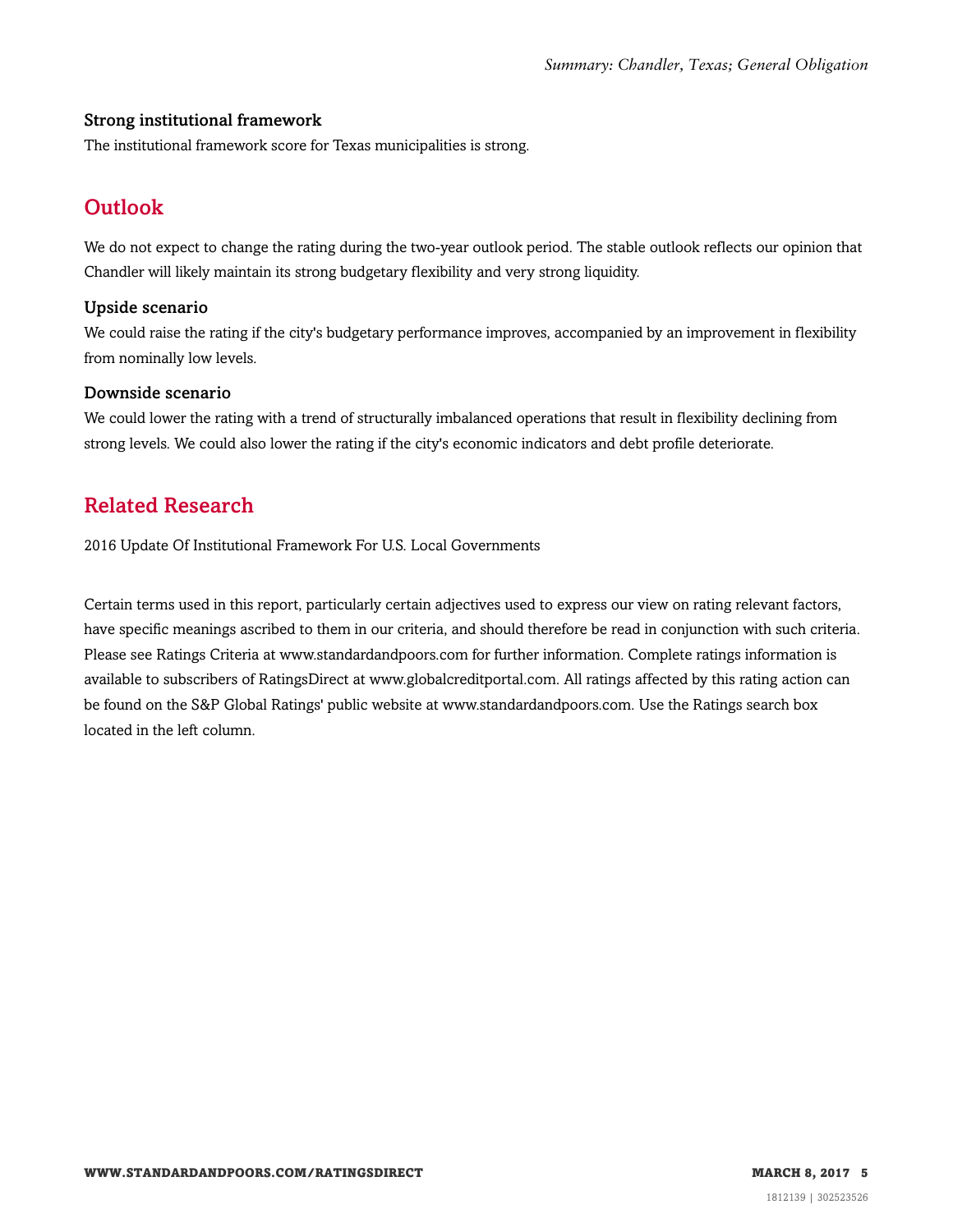#### Strong institutional framework

<span id="page-4-0"></span>The institutional framework score for Texas municipalities is strong.

# **Outlook**

We do not expect to change the rating during the two-year outlook period. The stable outlook reflects our opinion that Chandler will likely maintain its strong budgetary flexibility and very strong liquidity.

#### Upside scenario

We could raise the rating if the city's budgetary performance improves, accompanied by an improvement in flexibility from nominally low levels.

#### Downside scenario

We could lower the rating with a trend of structurally imbalanced operations that result in flexibility declining from strong levels. We could also lower the rating if the city's economic indicators and debt profile deteriorate.

### <span id="page-4-1"></span>Related Research

2016 Update Of Institutional Framework For U.S. Local Governments

Certain terms used in this report, particularly certain adjectives used to express our view on rating relevant factors, have specific meanings ascribed to them in our criteria, and should therefore be read in conjunction with such criteria. Please see Ratings Criteria at www.standardandpoors.com for further information. Complete ratings information is available to subscribers of RatingsDirect at www.globalcreditportal.com. All ratings affected by this rating action can be found on the S&P Global Ratings' public website at www.standardandpoors.com. Use the Ratings search box located in the left column.